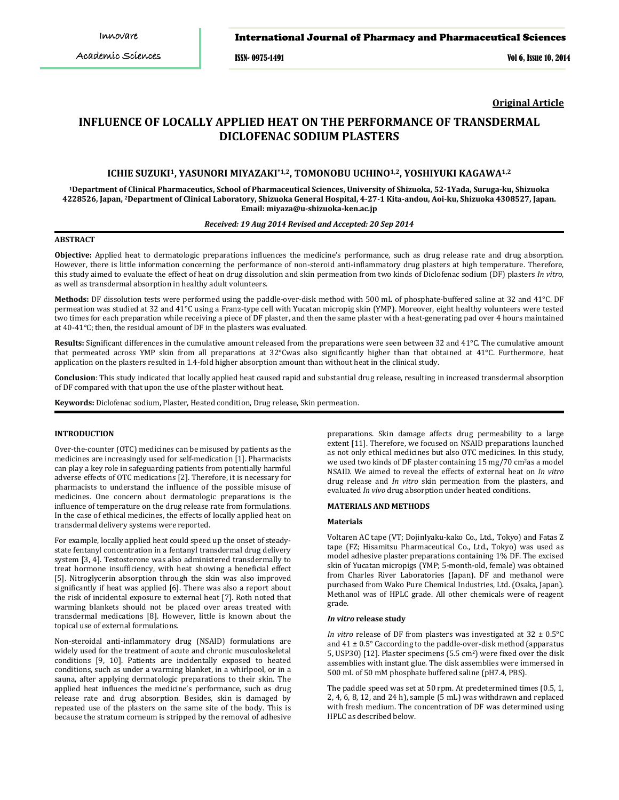ISSN- 0975-1491 Vol 6, Issue 10, 2014

**Original Article**

# **INFLUENCE OF LOCALLY APPLIED HEAT ON THE PERFORMANCE OF TRANSDERMAL DICLOFENAC SODIUM PLASTERS**

# **ICHIE SUZUKI1, YASUNORI MIYAZAKI\*1,2, TOMONOBU UCHINO1,2, YOSHIYUKI KAGAWA1,2**

**1Department of Clinical Pharmaceutics, School of Pharmaceutical Sciences, University of Shizuoka, 52-1Yada, Suruga-ku, Shizuoka 4228526, Japan, 2 Department of Clinical Laboratory, Shizuoka General Hospital, 4-27-1 Kita-andou, Aoi-ku, Shizuoka 4308527, Japan. Email: miyaza@u-shizuoka-ken.ac.jp**

# *Received: 19 Aug 2014 Revised and Accepted: 20 Sep 2014*

# **ABSTRACT**

**Objective:** Applied heat to dermatologic preparations influences the medicine's performance, such as drug release rate and drug absorption. However, there is little information concerning the performance of non-steroid anti-inflammatory drug plasters at high temperature. Therefore, this study aimed to evaluate the effect of heat on drug dissolution and skin permeation from two kinds of Diclofenac sodium (DF) plasters *In vitro*, as well as transdermal absorption in healthy adult volunteers.

**Methods:** DF dissolution tests were performed using the paddle-over-disk method with 500 mL of phosphate-buffered saline at 32 and 41°C. DF permeation was studied at 32 and 41°C using a Franz-type cell with Yucatan micropig skin (YMP). Moreover, eight healthy volunteers were tested two times for each preparation while receiving a piece of DF plaster, and then the same plaster with a heat-generating pad over 4 hours maintained at 40-41°C; then, the residual amount of DF in the plasters was evaluated.

**Results:** Significant differences in the cumulative amount released from the preparations were seen between 32 and 41°C. The cumulative amount that permeated across YMP skin from all preparations at 32°Cwas also significantly higher than that obtained at 41°C. Furthermore, heat application on the plasters resulted in 1.4-fold higher absorption amount than without heat in the clinical study.

**Conclusion**: This study indicated that locally applied heat caused rapid and substantial drug release, resulting in increased transdermal absorption of DF compared with that upon the use of the plaster without heat.

**Keywords:** Diclofenac sodium, Plaster, Heated condition, Drug release, Skin permeation.

# **INTRODUCTION**

Over-the-counter (OTC) medicines can be misused by patients as the medicines are increasingly used for self-medication [1]. Pharmacists can play a key role in safeguarding patients from potentially harmful adverse effects of OTC medications [2]. Therefore, it is necessary for pharmacists to understand the influence of the possible misuse of medicines. One concern about dermatologic preparations is the influence of temperature on the drug release rate from formulations. In the case of ethical medicines, the effects of locally applied heat on transdermal delivery systems were reported.

For example, locally applied heat could speed up the onset of steadystate fentanyl concentration in a fentanyl transdermal drug delivery system [3, 4]. Testosterone was also administered transdermally to treat hormone insufficiency, with heat showing a beneficial effect [5]. Nitroglycerin absorption through the skin was also improved significantly if heat was applied [6]. There was also a report about the risk of incidental exposure to external heat [7]. Roth noted that warming blankets should not be placed over areas treated with transdermal medications [8]. However, little is known about the topical use of external formulations.

Non-steroidal anti-inflammatory drug (NSAID) formulations are widely used for the treatment of acute and chronic musculoskeletal conditions [9, 10]. Patients are incidentally exposed to heated conditions, such as under a warming blanket, in a whirlpool, or in a sauna, after applying dermatologic preparations to their skin. The applied heat influences the medicine's performance, such as drug release rate and drug absorption. Besides, skin is damaged by repeated use of the plasters on the same site of the body. This is because the stratum corneum is stripped by the removal of adhesive

preparations. Skin damage affects drug permeability to a large extent [11]. Therefore, we focused on NSAID preparations launched as not only ethical medicines but also OTC medicines. In this study, we used two kinds of DF plaster containing 15 mg/70 cm2 as a model NSAID. We aimed to reveal the effects of external heat on *In vitro* drug release and *In vitro* skin permeation from the plasters, and evaluated *In vivo* drug absorption under heated conditions.

# **MATERIALS AND METHODS**

### **Materials**

Voltaren AC tape (VT; DojinIyaku-kako Co., Ltd., Tokyo) and Fatas Z tape (FZ; Hisamitsu Pharmaceutical Co., Ltd., Tokyo) was used as model adhesive plaster preparations containing 1% DF. The excised skin of Yucatan micropigs (YMP; 5-month-old, female) was obtained from Charles River Laboratories (Japan). DF and methanol were purchased from Wako Pure Chemical Industries, Ltd. (Osaka, Japan). Methanol was of HPLC grade. All other chemicals were of reagent grade.

### *In vitro* **release study**

*In vitro* release of DF from plasters was investigated at 32 ± 0.5°C and 41 ± 0.5° Caccording to the paddle-over-disk method (apparatus 5, USP30) [12]. Plaster specimens (5.5 cm2 ) were fixed over the disk assemblies with instant glue. The disk assemblies were immersed in 500 mL of 50 mM phosphate buffered saline (pH7.4, PBS).

The paddle speed was set at 50 rpm. At predetermined times (0.5, 1, 2, 4, 6, 8, 12, and 24 h), sample (5 mL) was withdrawn and replaced with fresh medium. The concentration of DF was determined using HPLC as described below.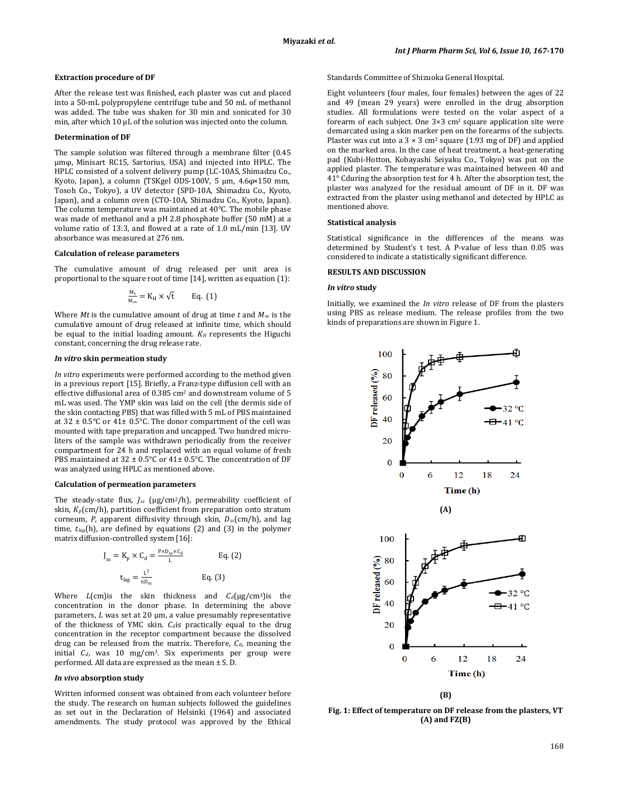### **Extraction procedure of DF**

After the release test was finished, each plaster was cut and placed into a 50-mL polypropylene centrifuge tube and 50 mL of methanol was added. The tube was shaken for 30 min and sonicated for 30 min, after which 10 μL of the solution was injected onto the column.

## **Determination of DF**

The sample solution was filtered through a membrane filter (0.45 μmφ, Minisart RC15, Sartorius, USA) and injected into HPLC. The HPLC consisted of a solvent delivery pump (LC-10AS, Shimadzu Co., Kyoto, Japan), a column (TSKgel ODS-100V, 5 μm, 4.6φ×150 mm, Tosoh Co., Tokyo), a UV detector (SPD-10A, Shimadzu Co., Kyoto, Japan), and a column oven (CTO-10A, Shimadzu Co., Kyoto, Japan). The column temperature was maintained at 40°C. The mobile phase was made of methanol and a pH 2.8 phosphate buffer (50 mM) at a volume ratio of 13:3, and flowed at a rate of 1.0 mL/min [13]. UV absorbance was measured at 276 nm.

### **Calculation of release parameters**

The cumulative amount of drug released per unit area is proportional to the square root of time [14], written as equation (1):

$$
\frac{M_t}{M_{\infty}} = K_H \times \sqrt{t} \qquad Eq. (1)
$$

Where *Mt* is the cumulative amount of drug at time  $t$  and  $M_\infty$  is the cumulative amount of drug released at infinite time, which should be equal to the initial loading amount.  $K_H$  represents the Higuchi constant, concerning the drug release rate.

#### *In vitro* **skin permeation study**

*In vitro* experiments were performed according to the method given in a previous report [15]. Briefly, a Franz-type diffusion cell with an effective diffusional area of 0.385 cm2 and downstream volume of 5 mL was used. The YMP skin was laid on the cell (the dermis side of the skin contacting PBS) that was filled with 5 mL of PBS maintained at  $32 \pm 0.5^{\circ}$ C or  $41 \pm 0.5^{\circ}$ C. The donor compartment of the cell was mounted with tape preparation and uncapped. Two hundred microliters of the sample was withdrawn periodically from the receiver compartment for 24 h and replaced with an equal volume of fresh PBS maintained at 32 ± 0.5°C or 41± 0.5°C. The concentration of DF was analyzed using HPLC as mentioned above.

# **Calculation of permeation parameters**

The steady-state flux, *Jss* (μg/cm2/h), permeability coefficient of skin, *Kp*(cm/h), partition coefficient from preparation onto stratum corneum, *P*, apparent diffusivity through skin, *Dss*(cm/h), and lag time, *tlag* (h), are defined by equations (2) and (3) in the polymer matrix diffusion-controlled system [16]:

$$
J_{ss} = K_p \times C_d = \frac{P \times D_{ss} \times C_d}{L}
$$
 Eq. (2)  

$$
t_{lag} = \frac{L^2}{6D_{ss}}
$$
 Eq. (3)

Where  $L$ (cm) is the skin thickness and  $C_d$ (μg/cm<sup>3</sup>) is the concentration in the donor phase. In determining the above parameters, *L* was set at 20 μm, a value presumably representative of the thickness of YMC skin.  $C_d$  is practically equal to the drug concentration in the receptor compartment because the dissolved drug can be released from the matrix. Therefore, *C0*, meaning the initial  $C_d$ , was 10 mg/cm<sup>3</sup>. Six experiments per group were performed. All data are expressed as the mean ± S. D.

## *In vivo* **absorption study**

Written informed consent was obtained from each volunteer before the study. The research on human subjects followed the guidelines as set out in the Declaration of Helsinki (1964) and associated amendments. The study protocol was approved by the Ethical Standards Committee of Shizuoka General Hospital.

Eight volunteers (four males, four females) between the ages of 22 and 49 (mean 29 years) were enrolled in the drug absorption studies. All formulations were tested on the volar aspect of a forearm of each subject. One 3×3 cm2 square application site were demarcated using a skin marker pen on the forearms of the subjects. Plaster was cut into a 3 × 3 cm2 square (1.93 mg of DF) and applied on the marked area. In the case of heat treatment, a heat-generating pad (Kubi-Hotton, Kobayashi Seiyaku Co., Tokyo) was put on the applied plaster. The temperature was maintained between 40 and 41° Cduring the absorption test for 4 h. After the absorption test, the plaster was analyzed for the residual amount of DF in it. DF was extracted from the plaster using methanol and detected by HPLC as mentioned above.

### **Statistical analysis**

Statistical significance in the differences of the means was determined by Student's t test. A P-value of less than 0.05 was considered to indicate a statistically significant difference.

# **RESULTS AND DISCUSSION**

#### *In vitro* **study**

Initially, we examined the *In vitro* release of DF from the plasters using PBS as release medium. The release profiles from the two kinds of preparations are shown in Figure 1.



**(B)**

**Fig. 1: Effect of temperature on DF release from the plasters, VT (A) and FZ(B)**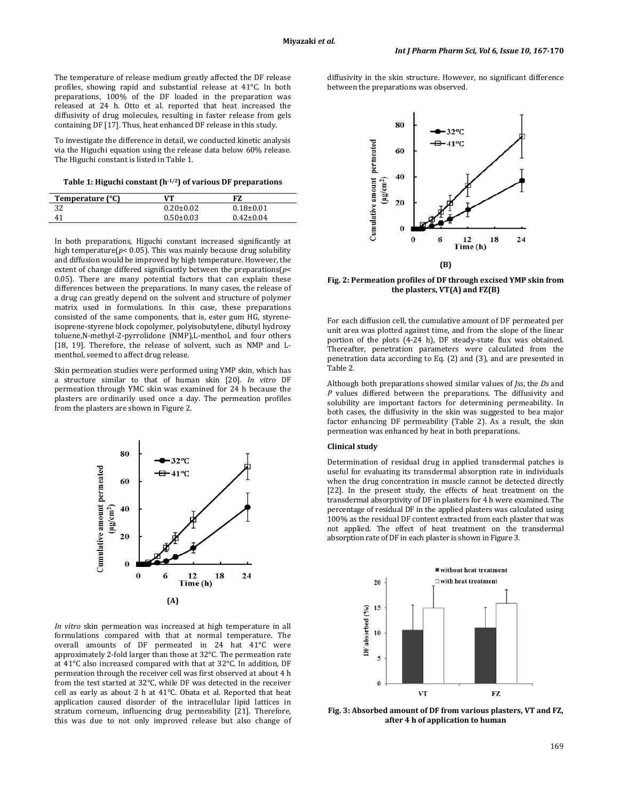The temperature of release medium greatly affected the DF release profiles, showing rapid and substantial release at 41°C. In both preparations, 100% of the DF loaded in the preparation was released at 24 h. Otto et al. reported that heat increased the diffusivity of drug molecules, resulting in faster release from gels containing DF [17]. Thus, heat enhanced DF release in this study.

To investigate the difference in detail, we conducted kinetic analysis via the Higuchi equation using the release data below 60% release. The Higuchi constant is listed in Table 1.

**Table 1: Higuchi constant (h-1/2 ) of various DF preparations**

| Temperature (°C) | VТ              | FZ.             |  |
|------------------|-----------------|-----------------|--|
| າາ               | $0.20 \pm 0.02$ | $0.18{\pm}0.01$ |  |
| 41               | $0.50 \pm 0.03$ | $0.42 \pm 0.04$ |  |

In both preparations, Higuchi constant increased significantly at high temperature( $p$ < 0.05). This was mainly because drug solubility and diffusion would be improved by high temperature. However, the extent of change differed significantly between the preparations(*p*< 0.05). There are many potential factors that can explain these differences between the preparations. In many cases, the release of a drug can greatly depend on the solvent and structure of polymer matrix used in formulations. In this case, these preparations consisted of the same components, that is, ester gum HG, styreneisoprene-styrene block copolymer, polyisobutylene, dibutyl hydroxy toluene,N-methyl-2-pyrrolidone (NMP),L-menthol, and four others [18, 19]. Therefore, the release of solvent, such as NMP and Lmenthol, seemed to affect drug release.

Skin permeation studies were performed using YMP skin, which has a structure similar to that of human skin [20]. *In vitro* DF permeation through YMC skin was examined for 24 h because the plasters are ordinarily used once a day. The permeation profiles from the plasters are shown in Figure 2.



*In vitro* skin permeation was increased at high temperature in all formulations compared with that at normal temperature. The overall amounts of DF permeated in 24 hat 41°C were approximately 2-fold larger than those at 32°C. The permeation rate at 41°C also increased compared with that at 32°C. In addition, DF permeation through the receiver cell was first observed at about 4 h from the test started at 32°C, while DF was detected in the receiver cell as early as about 2 h at 41°C. Obata et al. Reported that heat application caused disorder of the intracellular lipid lattices in stratum corneum, influencing drug permeability [21]. Therefore, this was due to not only improved release but also change of

diffusivity in the skin structure. However, no significant difference between the preparations was observed.



**Fig. 2: Permeation profiles of DF through excised YMP skin from the plasters, VT(A) and FZ(B)**

For each diffusion cell, the cumulative amount of DF permeated per unit area was plotted against time, and from the slope of the linear portion of the plots (4-24 h), DF steady-state flux was obtained. Thereafter, penetration parameters were calculated from the penetration data according to Eq. (2) and (3), and are presented in Table 2.

Although both preparations showed similar values of *Jss*, the *Ds* and *P* values differed between the preparations. The diffusivity and solubility are important factors for determining permeability. In both cases, the diffusivity in the skin was suggested to bea major factor enhancing DF permeability (Table 2). As a result, the skin permeation was enhanced by heat in both preparations.

# **Clinical study**

Determination of residual drug in applied transdermal patches is useful for evaluating its transdermal absorption rate in individuals when the drug concentration in muscle cannot be detected directly [22]. In the present study, the effects of heat treatment on the transdermal absorptivity of DF in plasters for 4 h were examined. The percentage of residual DF in the applied plasters was calculated using 100% as the residual DF content extracted from each plaster that was not applied. The effect of heat treatment on the transdermal absorption rate of DF in each plaster is shown in Figure 3.



**Fig. 3: Absorbed amount of DF from various plasters, VT and FZ, after 4 h of application to human**